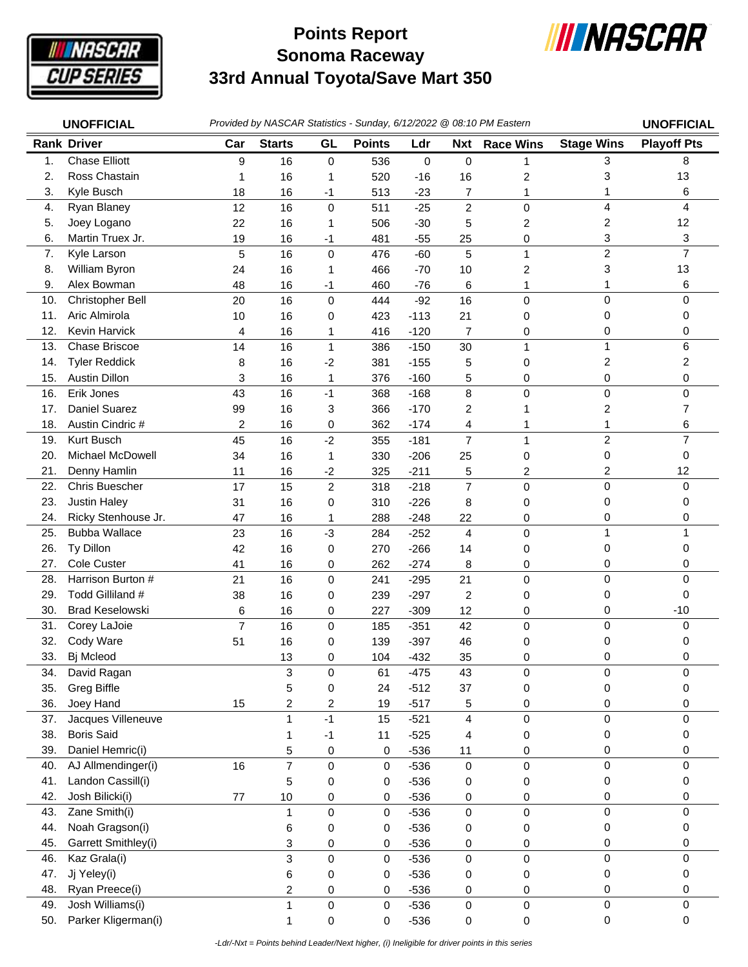

## **Sonoma Raceway 33rd Annual Toyota/Save Mart 350 Points Report**



|     | <b>UNOFFICIAL</b>      |                |                         |                  |               |        |                | Provided by NASCAR Statistics - Sunday, 6/12/2022 @ 08:10 PM Eastern |                     | <b>UNOFFICIAL</b>  |
|-----|------------------------|----------------|-------------------------|------------------|---------------|--------|----------------|----------------------------------------------------------------------|---------------------|--------------------|
|     | <b>Rank Driver</b>     | Car            | <b>Starts</b>           | GL               | <b>Points</b> | Ldr    | <b>Nxt</b>     | <b>Race Wins</b>                                                     | <b>Stage Wins</b>   | <b>Playoff Pts</b> |
| 1.  | <b>Chase Elliott</b>   | 9              | 16                      | $\mathbf 0$      | 536           | 0      | 0              | 1                                                                    | 3                   | 8                  |
| 2.  | Ross Chastain          | 1              | 16                      | 1                | 520           | $-16$  | 16             | $\overline{\mathbf{c}}$                                              | 3                   | 13                 |
| 3.  | Kyle Busch             | 18             | 16                      | $-1$             | 513           | $-23$  | 7              | 1                                                                    | 1                   | 6                  |
| 4.  | Ryan Blaney            | 12             | 16                      | $\pmb{0}$        | 511           | $-25$  | $\overline{2}$ | $\mathbf 0$                                                          | 4                   | 4                  |
| 5.  | Joey Logano            | 22             | 16                      | 1                | 506           | $-30$  | 5              | $\overline{\mathbf{c}}$                                              | 2                   | 12                 |
| 6.  | Martin Truex Jr.       | 19             | 16                      | $-1$             | 481           | $-55$  | 25             | 0                                                                    | 3                   | 3                  |
| 7.  | Kyle Larson            | 5              | 16                      | 0                | 476           | $-60$  | 5              | $\mathbf{1}$                                                         | $\overline{c}$      | $\overline{7}$     |
| 8.  | William Byron          | 24             | 16                      | 1                | 466           | $-70$  | 10             | 2                                                                    | 3                   | 13                 |
| 9.  | Alex Bowman            | 48             | 16                      | $-1$             | 460           | $-76$  | 6              | 1                                                                    | 1                   | 6                  |
| 10. | Christopher Bell       | 20             | 16                      | 0                | 444           | $-92$  | 16             | $\mathbf 0$                                                          | 0                   | 0                  |
| 11. | Aric Almirola          | 10             | 16                      | 0                | 423           | $-113$ | 21             | 0                                                                    | 0                   | 0                  |
| 12. | Kevin Harvick          | 4              | 16                      | 1                | 416           | $-120$ | 7              | 0                                                                    | 0                   | 0                  |
| 13. | Chase Briscoe          | 14             | 16                      | $\mathbf 1$      | 386           | $-150$ | 30             | 1                                                                    | $\mathbf{1}$        | 6                  |
| 14. | <b>Tyler Reddick</b>   | 8              | 16                      | $-2$             | 381           | $-155$ | 5              | 0                                                                    | 2                   | 2                  |
| 15. | <b>Austin Dillon</b>   | 3              | 16                      | 1                | 376           | $-160$ | 5              | 0                                                                    | 0                   | 0                  |
| 16. | Erik Jones             | 43             | 16                      | $-1$             | 368           | $-168$ | 8              | $\mathbf 0$                                                          | $\mathbf 0$         | 0                  |
| 17. | <b>Daniel Suarez</b>   | 99             | 16                      | 3                | 366           | $-170$ | 2              | 1                                                                    | 2                   | 7                  |
| 18. | Austin Cindric #       | $\overline{c}$ | 16                      | 0                | 362           | $-174$ | 4              | 1                                                                    | 1                   | 6                  |
| 19. | Kurt Busch             | 45             | 16                      | $-2$             | 355           | $-181$ | $\overline{7}$ | 1                                                                    | $\overline{c}$      | $\overline{7}$     |
| 20. | Michael McDowell       | 34             | 16                      | 1                | 330           | $-206$ | 25             | 0                                                                    | 0                   | 0                  |
| 21. | Denny Hamlin           | 11             | 16                      | $-2$             | 325           | $-211$ | 5              | 2                                                                    | 2                   | 12                 |
| 22. | Chris Buescher         | 17             | 15                      | $\overline{c}$   | 318           | $-218$ | $\overline{7}$ | $\mathbf 0$                                                          | $\mathsf 0$         | 0                  |
| 23. | <b>Justin Haley</b>    | 31             | 16                      | 0                | 310           | $-226$ | 8              | 0                                                                    | 0                   | 0                  |
| 24. | Ricky Stenhouse Jr.    | 47             | 16                      | 1                | 288           | $-248$ | 22             | 0                                                                    | 0                   | 0                  |
| 25. | <b>Bubba Wallace</b>   | 23             | 16                      | $-3$             | 284           | $-252$ | $\overline{4}$ | $\mathbf 0$                                                          | $\mathbf{1}$        | 1                  |
| 26. | Ty Dillon              | 42             | 16                      | 0                | 270           | $-266$ | 14             | 0                                                                    | 0                   | 0                  |
| 27. | Cole Custer            | 41             | 16                      | 0                | 262           | $-274$ | 8              | 0                                                                    | 0                   | 0                  |
| 28. | Harrison Burton #      | 21             | 16                      | $\mathbf 0$      | 241           | $-295$ | 21             | $\mathbf 0$                                                          | 0                   | 0                  |
| 29. | Todd Gilliland #       | 38             | 16                      | 0                | 239           | $-297$ | $\overline{c}$ | 0                                                                    | 0                   | 0                  |
| 30. | <b>Brad Keselowski</b> | 6              | 16                      | 0                | 227           | $-309$ | 12             | 0                                                                    | 0                   | $-10$              |
| 31. | Corey LaJoie           | $\overline{7}$ | 16                      | $\mathbf 0$      | 185           | $-351$ | 42             | $\pmb{0}$                                                            | 0                   | 0                  |
| 32. | Cody Ware              | 51             | 16                      | 0                | 139           | $-397$ | 46             | 0                                                                    | 0                   | 0                  |
| 33. | Bj Mcleod              |                | 13                      | 0                | 104           | $-432$ | 35             | 0                                                                    | 0                   | 0                  |
| 34. | David Ragan            |                | 3                       | $\pmb{0}$        | 61            | $-475$ | 43             | $\pmb{0}$                                                            | 0                   | 0                  |
| 35. | <b>Greg Biffle</b>     |                | 5                       | 0                | 24            | $-512$ | 37             | 0                                                                    | 0                   | 0                  |
| 36. | Joey Hand              | 15             | $\overline{\mathbf{c}}$ | $\overline{c}$   | 19            | $-517$ | 5              | 0                                                                    | 0                   | 0                  |
| 37. | Jacques Villeneuve     |                | $\mathbf{1}$            | $-1$             | 15            | $-521$ | 4              | $\pmb{0}$                                                            | $\pmb{0}$           | $\pmb{0}$          |
| 38. | <b>Boris Said</b>      |                | 1                       | $-1$             | 11            | $-525$ | 4              | 0                                                                    | 0                   | 0                  |
| 39. | Daniel Hemric(i)       |                | 5                       | 0                | 0             | $-536$ | 11             | 0                                                                    | 0                   | 0                  |
| 40. | AJ Allmendinger(i)     | 16             | $\overline{7}$          | $\pmb{0}$        | 0             | $-536$ | $\pmb{0}$      | $\pmb{0}$                                                            | 0                   | 0                  |
| 41. | Landon Cassill(i)      |                | 5                       | 0                | 0             | $-536$ | 0              | 0                                                                    | 0                   | 0                  |
| 42. | Josh Bilicki(i)        | 77             | $10$                    | 0                | $\pmb{0}$     | $-536$ | 0              | 0                                                                    | 0                   | 0                  |
| 43. | Zane Smith(i)          |                | 1                       | $\pmb{0}$        | $\mathbf 0$   | $-536$ | 0              | $\pmb{0}$                                                            | $\mathbf 0$         | 0                  |
| 44. | Noah Gragson(i)        |                | 6                       | $\boldsymbol{0}$ | 0             | $-536$ | 0              | 0                                                                    | 0                   | 0                  |
| 45. | Garrett Smithley(i)    |                | 3                       | 0                | 0             | $-536$ | 0              | 0                                                                    | 0                   | 0                  |
| 46. | Kaz Grala(i)           |                | 3                       | $\pmb{0}$        | $\pmb{0}$     | $-536$ | 0              | $\pmb{0}$                                                            | $\mathsf 0$         | 0                  |
| 47. | Jj Yeley(i)            |                | 6                       | 0                | 0             | $-536$ | 0              | 0                                                                    | 0                   | 0                  |
| 48. | Ryan Preece(i)         |                | 2                       | 0                | 0             | $-536$ | 0              | 0                                                                    | 0                   | 0                  |
| 49. | Josh Williams(i)       |                | 1                       | $\pmb{0}$        | $\mathbf 0$   | $-536$ | 0              | $\pmb{0}$                                                            | $\mathsf{O}\xspace$ | 0                  |
| 50. | Parker Kligerman(i)    |                | 1                       | 0                | 0             | $-536$ | 0              | 0                                                                    | 0                   | 0                  |